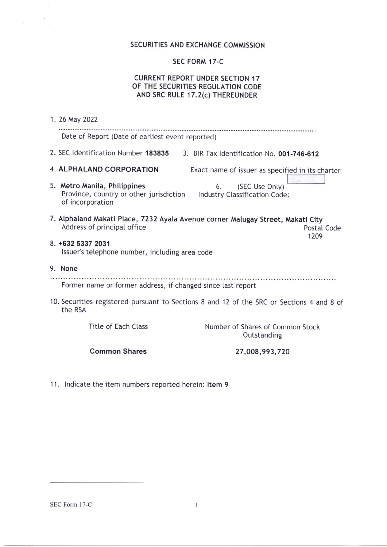# SECURITIES AND EXCHANGE COMMISSION

# SEC FORM 17-C

## CURRENT REPORT UNDER SECTION 17 OF THE SECURITIES REGULATION CODE AND SRC RULE 17.2(c) THEREUNDER

|                                                                                                                                       | 1. 26 May 2022                                                                                                                                       |  |  |
|---------------------------------------------------------------------------------------------------------------------------------------|------------------------------------------------------------------------------------------------------------------------------------------------------|--|--|
|                                                                                                                                       | Date of Report (Date of earliest event reported)                                                                                                     |  |  |
|                                                                                                                                       | 2. SEC Identification Number 183835<br>3. BIR Tax Identification No. 001-746-612                                                                     |  |  |
|                                                                                                                                       | <b>4. ALPHALAND CORPORATION</b><br>Exact name of issuer as specified in its charter                                                                  |  |  |
|                                                                                                                                       | 5. Metro Manila, Philippines<br>(SEC Use Only)<br>6.<br>Province, country or other jurisdiction<br>Industry Classification Code:<br>of incorporation |  |  |
| 7. Alphaland Makati Place, 7232 Ayala Avenue corner Malugay Street, Makati City<br>Address of principal office<br>Postal Code<br>1209 |                                                                                                                                                      |  |  |
| 8. +632 5337 2031<br>Issuer's telephone number, including area code                                                                   |                                                                                                                                                      |  |  |
|                                                                                                                                       | 9. None                                                                                                                                              |  |  |
| Former name or former address, if changed since last report                                                                           |                                                                                                                                                      |  |  |
| 10. Securities registered pursuant to Sections 8 and 12 of the SRC or Sections 4 and 8 of<br>the RSA                                  |                                                                                                                                                      |  |  |
|                                                                                                                                       | Title of Each Class<br>Number of Shares of Common Stock<br>Outstanding                                                                               |  |  |
|                                                                                                                                       | <b>Common Shares</b><br>27,008,993,720                                                                                                               |  |  |

11. lndicate the item numbers reported herein: ltem 9

SEC Form l7-C

 $\mathcal{L}_{\mathbf{a}}$  .

 $\mathcal{R}$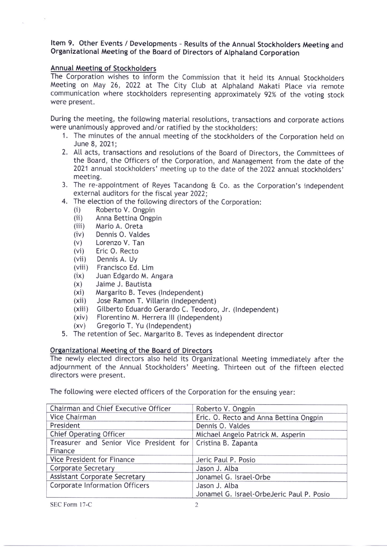### Item 9. Other Events / Developments - Results of the Annual Stockholders Meeting and Organizational Meeting of the Board of Directors of Atphaland Corporation

# Annual Meeting of Stockholders

The corporation wishes to inform the commission that it hetd its Annual stockhotders Meeting on May 26, 2022 at The City Club at Alphaland Makati Place via remote communication where stockholders representing approximatety 92% of the voting stock were present.

During the meeting, the following material resolutions, transactions and corporate actions were unanimously approved and/or ratified by the stockholders:

- 1. The minutes of the annual meeting of the stockholders of the Corporation held on June 8, 2021;
- 2. All acts, transactions and resotutions of the Board of Directors, the Committees of the Board, the Officers of the Corporation, and Management from the date of the 2021 annual stockholders' meeting up to the date of the 2022 annual stockholders' meeting.
- 3. The re-appointment of Reyes Tacandong  $\theta$  Co. as the Corporation's independent
- external auditors for the fiscal year 2022;<br>4. The election of the following directors of the Corporation: 4. The election of the following directors of the Corporation:<br>
(i) Roberto V. Ongpin<br>
(ii) Anna Bettina Ongpin<br>
(iii) Mario A. Oreta<br>
(iv) Dennis O. Valdes<br>
(v) Lorenzo V. Tan<br>
(vi) Eric O. Recto<br>
(vii) Dennis A. Uy<br>
(vii
	-
	-
	-
	-
	-
	-
	-
	-
	-
	-
	-
	-
	- (xii) Jose Ramon T. Villarin (Independent)<br>(xiii) Gilberto Eduardo Gerardo C. Teodoro, Jr. (Independent)
	- (xiv) Florentino M. Herrera III (Independent)<br>(xv) Gregorio T. Yu (Independent)
	-
- 5. The retention of Sec. Margarito B. Teves as independent director

#### Orqanizational Meetine of the Board of Directors

The newly elected directors also held its Organizational Meeting immediately after the adjournment of the Annual Stockhotders' Meeting. Thirteen out of the fifteen etected directors were present.

The following were elected officers of the Corporation for the ensuing year:

| Chairman and Chief Executive Officer                        | Roberto V. Ongpin                         |
|-------------------------------------------------------------|-------------------------------------------|
| Vice Chairman                                               | Eric. O. Recto and Anna Bettina Ongpin    |
| President                                                   | Dennis O. Valdes                          |
| Chief Operating Officer                                     | Michael Angelo Patrick M. Asperin         |
| Treasurer and Senior Vice President for Cristina B. Zapanta |                                           |
| Finance                                                     |                                           |
| Vice President for Finance                                  | Jeric Paul P. Posio                       |
| Corporate Secretary                                         | Jason J. Alba                             |
| <b>Assistant Corporate Secretary</b>                        | Jonamel G. Israel-Orbe                    |
| Corporate Information Officers                              | Jason J. Alba                             |
|                                                             | Jonamel G. Israel-OrbeJeric Paul P. Posio |

SEC Form l7-C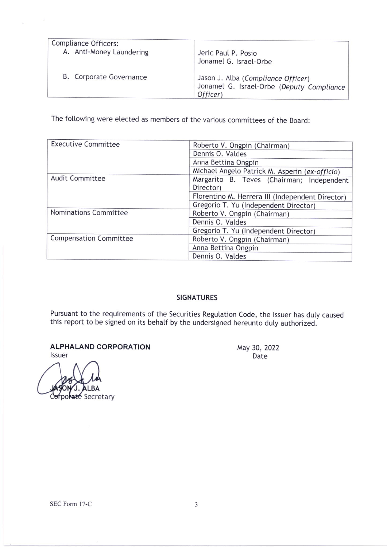| Compliance Officers:     | Jeric Paul P. Posio                                                                         |
|--------------------------|---------------------------------------------------------------------------------------------|
| A. Anti-Money Laundering | Jonamel G. Israel-Orbe                                                                      |
| B. Corporate Governance  | Jason J. Alba (Compliance Officer)<br>Jonamel G. Israel-Orbe (Deputy Compliance<br>Officer) |

The following were elected as members of the various committees of the Board:

| <b>Executive Committee</b>    | Roberto V. Ongpin (Chairman)                     |
|-------------------------------|--------------------------------------------------|
|                               | Dennis O. Valdes                                 |
|                               | Anna Bettina Ongpin                              |
|                               | Michael Angelo Patrick M. Asperin (ex-officio)   |
| <b>Audit Committee</b>        | Margarito B. Teves (Chairman; Independent        |
|                               | Director)                                        |
|                               | Florentino M. Herrera III (Independent Director) |
|                               | Gregorio T. Yu (Independent Director)            |
| Nominations Committee         | Roberto V. Ongpin (Chairman)                     |
|                               | Dennis O. Valdes                                 |
|                               | Gregorio T. Yu (Independent Director)            |
| <b>Compensation Committee</b> | Roberto V. Ongpin (Chairman)                     |
|                               | Anna Bettina Ongpin                              |
|                               | Dennis O. Valdes                                 |

# SIGNATURES

Pursuant to the requirements of the Securities Regulation Code, the Issuer has duly caused this report to be signed on its behalf by the undersigned hereunto duty authorized.

ALPHALAND CORPORATION lssuer

ate Secretary

×

 $\mathcal{A}$ 

May 30, 2022 Date